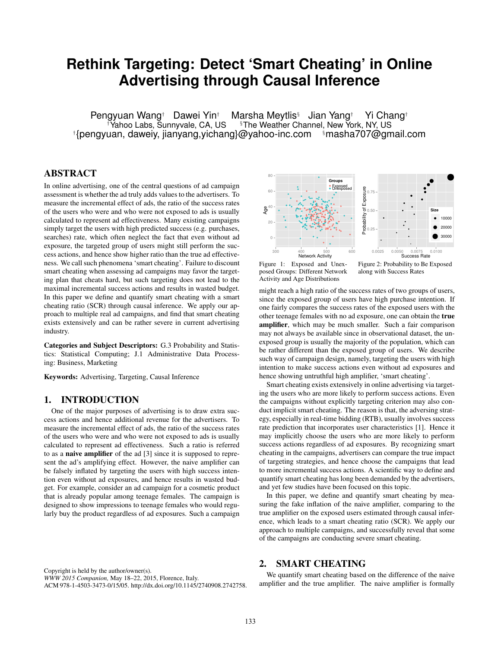# **Rethink Targeting: Detect 'Smart Cheating' in Online Advertising through Causal Inference**

Pengyuan Wang† Dawei Yin† Marsha Meytlis<sup>§</sup> Jian Yang† Yi Chang†<br><sup>†</sup>Yahoo Labs, Sunnyvale, CA, US <sup>§</sup>The Weather Channel, New York, NY, US <sup>§</sup>The Weather Channel, New York, NY, US † {pengyuan, daweiy, jianyang,yichang}@yahoo-inc.com §masha707@gmail.com

## ABSTRACT

In online advertising, one of the central questions of ad campaign assessment is whether the ad truly adds values to the advertisers. To measure the incremental effect of ads, the ratio of the success rates of the users who were and who were not exposed to ads is usually calculated to represent ad effectiveness. Many existing campaigns simply target the users with high predicted success (e.g. purchases, searches) rate, which often neglect the fact that even without ad exposure, the targeted group of users might still perform the success actions, and hence show higher ratio than the true ad effectiveness. We call such phenomena 'smart cheating'. Failure to discount smart cheating when assessing ad campaigns may favor the targeting plan that cheats hard, but such targeting does not lead to the maximal incremental success actions and results in wasted budget. In this paper we define and quantify smart cheating with a smart cheating ratio (SCR) through causal inference. We apply our approach to multiple real ad campaigns, and find that smart cheating exists extensively and can be rather severe in current advertising industry.

Categories and Subject Descriptors: G.3 Probability and Statistics: Statistical Computing; J.1 Administrative Data Processing: Business, Marketing

Keywords: Advertising, Targeting, Causal Inference

### 1. INTRODUCTION

One of the major purposes of advertising is to draw extra success actions and hence additional revenue for the advertisers. To measure the incremental effect of ads, the ratio of the success rates of the users who were and who were not exposed to ads is usually calculated to represent ad effectiveness. Such a ratio is referred to as a naive amplifier of the ad [3] since it is supposed to represent the ad's amplifying effect. However, the naive amplifier can be falsely inflated by targeting the users with high success intention even without ad exposures, and hence results in wasted budget. For example, consider an ad campaign for a cosmetic product that is already popular among teenage females. The campaign is designed to show impressions to teenage females who would regularly buy the product regardless of ad exposures. Such a campaign



Figure 1: Exposed and Unexposed Groups: Different Network Activity and Age Distributions

Figure 2: Probability to Be Exposed along with Success Rates

might reach a high ratio of the success rates of two groups of users, since the exposed group of users have high purchase intention. If one fairly compares the success rates of the exposed users with the other teenage females with no ad exposure, one can obtain the true amplifier, which may be much smaller. Such a fair comparison may not always be available since in observational dataset, the unexposed group is usually the majority of the population, which can be rather different than the exposed group of users. We describe such way of campaign design, namely, targeting the users with high intention to make success actions even without ad exposures and hence showing untruthful high amplifier, 'smart cheating'.

Smart cheating exists extensively in online advertising via targeting the users who are more likely to perform success actions. Even the campaigns without explicitly targeting criterion may also conduct implicit smart cheating. The reason is that, the adversing strategy, especially in real-time bidding (RTB), usually involves success rate prediction that incorporates user characteristics [1]. Hence it may implicitly choose the users who are more likely to perform success actions regardless of ad exposures. By recognizing smart cheating in the campaigns, advertisers can compare the true impact of targeting strategies, and hence choose the campaigns that lead to more incremental success actions. A scientific way to define and quantify smart cheating has long been demanded by the advertisers, and yet few studies have been focused on this topic.

In this paper, we define and quantify smart cheating by measuring the fake inflation of the naive amplifier, comparing to the true amplifier on the exposed users estimated through causal inference, which leads to a smart cheating ratio (SCR). We apply our approach to multiple campaigns, and successfully reveal that some of the campaigns are conducting severe smart cheating.

Copyright is held by the author/owner(s).

*WWW 2015 Companion,* May 18–22, 2015, Florence, Italy. ACM 978-1-4503-3473-0/15/05. http://dx.doi.org/10.1145/2740908.2742758.

We quantify smart cheating based on the difference of the naive amplifier and the true amplifier. The naive amplifier is formally

2. SMART CHEATING